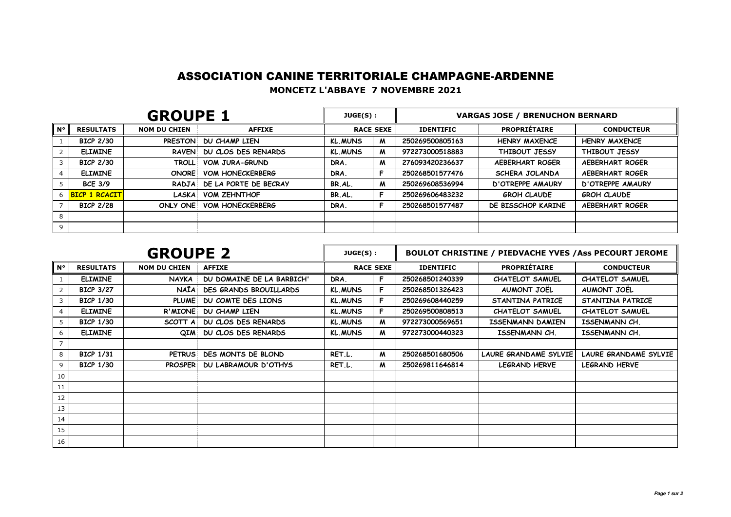## ASSOCIATION CANINE TERRITORIALE CHAMPAGNE-ARDENNE

**MONCETZ L'ABBAYE 7 NOVEMBRE 2021**

| <b>GROUPE 1</b> |                      |                     |                              | JUGE(S):         |   | <b>VARGAS JOSE / BRENUCHON BERNARD</b> |                         |                         |  |
|-----------------|----------------------|---------------------|------------------------------|------------------|---|----------------------------------------|-------------------------|-------------------------|--|
| $N^{\circ}$     | <b>RESULTATS</b>     | <b>NOM DU CHIEN</b> | <b>AFFIXE</b>                | <b>RACE SEXE</b> |   | <b>IDENTIFIC</b>                       | <b>PROPRIETAIRE</b>     | <b>CONDUCTEUR</b>       |  |
|                 | <b>BICP 2/30</b>     |                     | PRESTON DU CHAMP LIEN        | <b>KL.MUNS</b>   | M | 250269500805163                        | <b>HENRY MAXENCE</b>    | <b>HENRY MAXENCE</b>    |  |
|                 | <b>ELIMINE</b>       |                     | RAVEN DU CLOS DES RENARDS    | <b>KL.MUNS</b>   | M | 972273000518883                        | THIBOUT JESSY           | THIBOUT JESSY           |  |
|                 | <b>BICP 2/30</b>     | <b>TROLL</b>        | <b>VOM JURA-GRUND</b>        | DRA.             | M | 276093420236637                        | <b>AEBERHART ROGER</b>  | <b>AEBERHART ROGER</b>  |  |
|                 | <b>ELIMINE</b>       | <b>ONORE</b>        | <b>VOM HONECKERBERG</b>      | DRA.             |   | 250268501577476                        | SCHERA JOLANDA          | <b>AEBERHART ROGER</b>  |  |
|                 | <b>BCE 3/9</b>       |                     | RADJA: DE LA PORTE DE BECRAY | BR.AL.           | M | 250269608536994                        | <b>D'OTREPPE AMAURY</b> | <b>D'OTREPPE AMAURY</b> |  |
|                 | <b>BICP 1 RCACIT</b> | <b>LASKA</b>        | <b>VOM ZEHNTHOF</b>          | BR.AL.           | - | 250269606483232                        | <b>GROH CLAUDE</b>      | <b>GROH CLAUDE</b>      |  |
|                 | <b>BICP 2/28</b>     | ONLY ONE!           | <b>VOM HONECKERBERG</b>      | DRA.             |   | 250268501577487                        | DE BISSCHOP KARINE      | <b>AEBERHART ROGER</b>  |  |
|                 |                      |                     |                              |                  |   |                                        |                         |                         |  |
|                 |                      |                     |                              |                  |   |                                        |                         |                         |  |

| <b>GROUPE 2</b> |                  |                     |                               | JUGE(S):         |   | <b>BOULOT CHRISTINE / PIEDVACHE YVES / Ass PECOURT JEROME</b> |                        |                        |
|-----------------|------------------|---------------------|-------------------------------|------------------|---|---------------------------------------------------------------|------------------------|------------------------|
| $N^{\circ}$     | <b>RESULTATS</b> | <b>NOM DU CHIEN</b> | <b>AFFIXE</b>                 | <b>RACE SEXE</b> |   | <b>IDENTIFIC</b>                                              | <b>PROPRIÉTAIRE</b>    | <b>CONDUCTEUR</b>      |
|                 | <b>ELIMINE</b>   | <b>NAYKA</b>        | DU DOMAINE DE LA BARBICH'     | DRA.             | F | 250268501240339                                               | <b>CHATELOT SAMUEL</b> | CHATELOT SAMUEL        |
|                 | <b>BICP 3/27</b> | <b>NAÏA</b>         | <b>DES GRANDS BROUILLARDS</b> | <b>KL.MUNS</b>   | F | 250268501326423                                               | AUMONT JOEL            | AUMONT JOËL            |
| 3               | <b>BICP 1/30</b> | PLUME!              | DU COMTE DES LIONS            | <b>KL.MUNS</b>   | F | 250269608440259                                               | STANTINA PATRICE       | STANTINA PATRICE       |
|                 | <b>ELIMINE</b>   | R'MIONE             | DU CHAMP LIEN                 | <b>KL.MUNS</b>   |   | 250269500808513                                               | <b>CHATELOT SAMUEL</b> | <b>CHATELOT SAMUEL</b> |
|                 | <b>BICP 1/30</b> | <b>SCOTT A</b>      | DU CLOS DES RENARDS           | <b>KL.MUNS</b>   | M | 972273000569651                                               | ISSENMANN DAMIEN       | ISSENMANN CH.          |
| 6               | <b>ELIMINE</b>   | QIM                 | DU CLOS DES RENARDS           | <b>KL.MUNS</b>   | M | 972273000440323                                               | ISSENMANN CH.          | ISSENMANN CH.          |
|                 |                  |                     |                               |                  |   |                                                               |                        |                        |
| 8               | <b>BICP 1/31</b> | <b>PETRUS</b>       | DES MONTS DE BLOND            | RET.L.           | M | 250268501680506                                               | LAURE GRANDAME SYLVIE  | LAURE GRANDAME SYLVIE  |
| 9               | <b>BICP 1/30</b> | <b>PROSPER</b>      | DU LABRAMOUR D'OTHYS          | RET.L.           | M | 250269811646814                                               | LEGRAND HERVE          | <b>LEGRAND HERVE</b>   |
| 10              |                  |                     |                               |                  |   |                                                               |                        |                        |
| 11              |                  |                     |                               |                  |   |                                                               |                        |                        |
| 12              |                  |                     |                               |                  |   |                                                               |                        |                        |
| 13              |                  |                     |                               |                  |   |                                                               |                        |                        |
| 14              |                  |                     |                               |                  |   |                                                               |                        |                        |
| 15              |                  |                     |                               |                  |   |                                                               |                        |                        |
| 16              |                  |                     |                               |                  |   |                                                               |                        |                        |